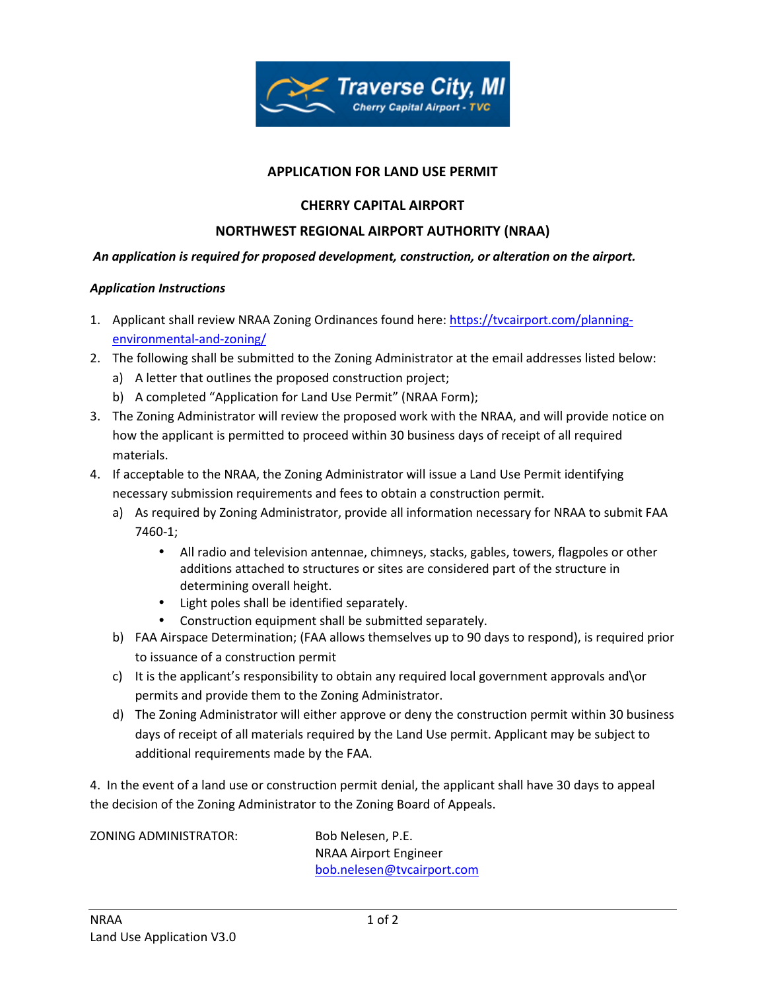

# **APPLICATION FOR LAND USE PERMIT**

# **CHERRY CAPITAL AIRPORT**

# **NORTHWEST REGIONAL AIRPORT AUTHORITY (NRAA)**

### *An application is required for proposed development, construction, or alteration on the airport.*

#### *Application Instructions*

- 1. Applicant shall review NRAA Zoning Ordinances found here: https://tvcairport.com/planningenvironmental-and-zoning/
- 2. The following shall be submitted to the Zoning Administrator at the email addresses listed below:
	- a) A letter that outlines the proposed construction project;
	- b) A completed "Application for Land Use Permit" (NRAA Form);
- 3. The Zoning Administrator will review the proposed work with the NRAA, and will provide notice on how the applicant is permitted to proceed within 30 business days of receipt of all required materials.
- 4. If acceptable to the NRAA, the Zoning Administrator will issue a Land Use Permit identifying necessary submission requirements and fees to obtain a construction permit.
	- a) As required by Zoning Administrator, provide all information necessary for NRAA to submit FAA 7460-1;
		- All radio and television antennae, chimneys, stacks, gables, towers, flagpoles or other additions attached to structures or sites are considered part of the structure in determining overall height.
		- Light poles shall be identified separately.
		- Construction equipment shall be submitted separately.
	- b) FAA Airspace Determination; (FAA allows themselves up to 90 days to respond), is required prior to issuance of a construction permit
	- c) It is the applicant's responsibility to obtain any required local government approvals and\or permits and provide them to the Zoning Administrator.
	- d) The Zoning Administrator will either approve or deny the construction permit within 30 business days of receipt of all materials required by the Land Use permit. Applicant may be subject to additional requirements made by the FAA.

4. In the event of a land use or construction permit denial, the applicant shall have 30 days to appeal the decision of the Zoning Administrator to the Zoning Board of Appeals.

ZONING ADMINISTRATOR: Bob Nelesen, P.E.

 NRAA Airport Engineer bob.nelesen@tvcairport.com